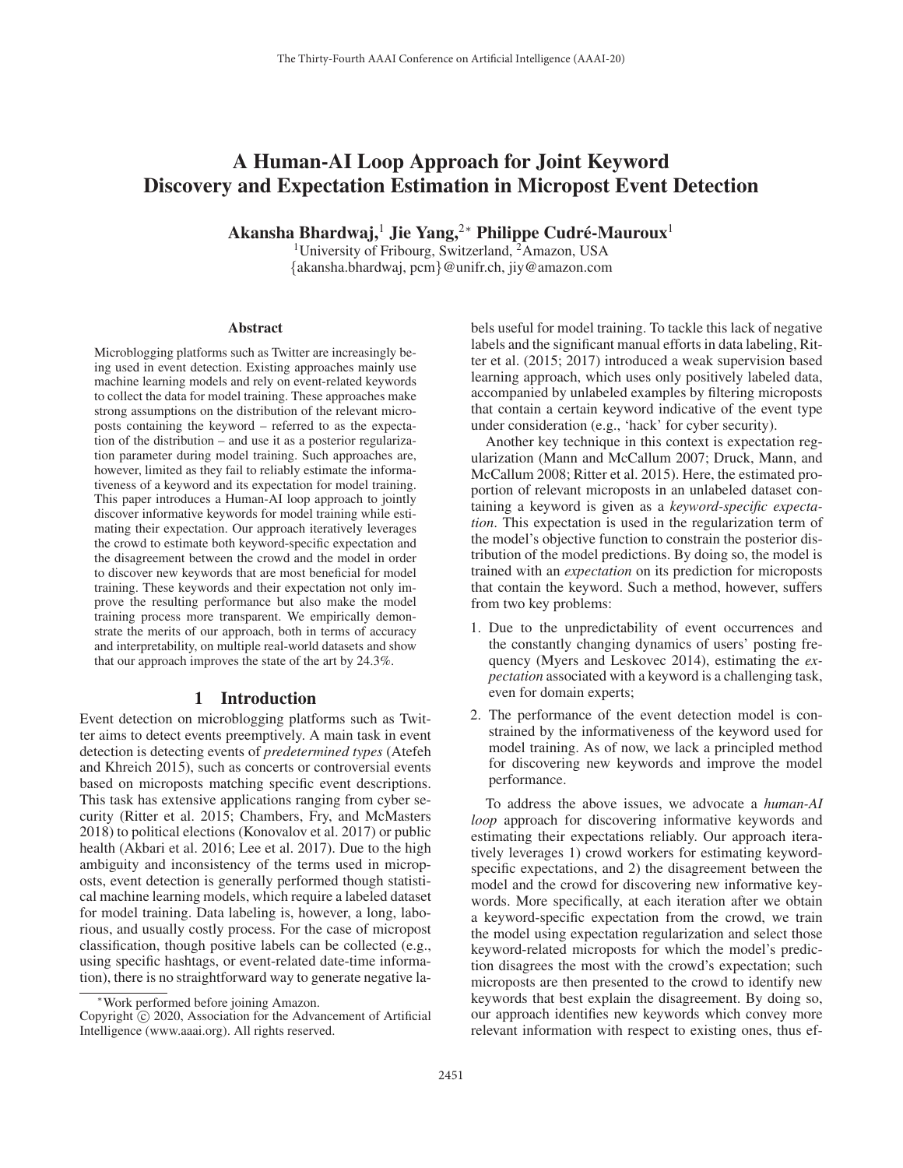# A Human-AI Loop Approach for Joint Keyword Discovery and Expectation Estimation in Micropost Event Detection

Akansha Bhardwaj,<sup>1</sup> Jie Yang,<sup>2∗</sup> Philippe Cudré-Mauroux<sup>1</sup>

<sup>1</sup>University of Fribourg, Switzerland,  $2\overline{A}$ mazon, USA {akansha.bhardwaj, pcm}@unifr.ch, jiy@amazon.com

#### **Abstract**

Microblogging platforms such as Twitter are increasingly being used in event detection. Existing approaches mainly use machine learning models and rely on event-related keywords to collect the data for model training. These approaches make strong assumptions on the distribution of the relevant microposts containing the keyword – referred to as the expectation of the distribution – and use it as a posterior regularization parameter during model training. Such approaches are, however, limited as they fail to reliably estimate the informativeness of a keyword and its expectation for model training. This paper introduces a Human-AI loop approach to jointly discover informative keywords for model training while estimating their expectation. Our approach iteratively leverages the crowd to estimate both keyword-specific expectation and the disagreement between the crowd and the model in order to discover new keywords that are most beneficial for model training. These keywords and their expectation not only improve the resulting performance but also make the model training process more transparent. We empirically demonstrate the merits of our approach, both in terms of accuracy and interpretability, on multiple real-world datasets and show that our approach improves the state of the art by 24.3%.

### 1 Introduction

Event detection on microblogging platforms such as Twitter aims to detect events preemptively. A main task in event detection is detecting events of *predetermined types* (Atefeh and Khreich 2015), such as concerts or controversial events based on microposts matching specific event descriptions. This task has extensive applications ranging from cyber security (Ritter et al. 2015; Chambers, Fry, and McMasters 2018) to political elections (Konovalov et al. 2017) or public health (Akbari et al. 2016; Lee et al. 2017). Due to the high ambiguity and inconsistency of the terms used in microposts, event detection is generally performed though statistical machine learning models, which require a labeled dataset for model training. Data labeling is, however, a long, laborious, and usually costly process. For the case of micropost classification, though positive labels can be collected (e.g., using specific hashtags, or event-related date-time information), there is no straightforward way to generate negative labels useful for model training. To tackle this lack of negative labels and the significant manual efforts in data labeling, Ritter et al. (2015; 2017) introduced a weak supervision based learning approach, which uses only positively labeled data, accompanied by unlabeled examples by filtering microposts that contain a certain keyword indicative of the event type under consideration (e.g., 'hack' for cyber security).

Another key technique in this context is expectation regularization (Mann and McCallum 2007; Druck, Mann, and McCallum 2008; Ritter et al. 2015). Here, the estimated proportion of relevant microposts in an unlabeled dataset containing a keyword is given as a *keyword-specific expectation*. This expectation is used in the regularization term of the model's objective function to constrain the posterior distribution of the model predictions. By doing so, the model is trained with an *expectation* on its prediction for microposts that contain the keyword. Such a method, however, suffers from two key problems:

- 1. Due to the unpredictability of event occurrences and the constantly changing dynamics of users' posting frequency (Myers and Leskovec 2014), estimating the *expectation* associated with a keyword is a challenging task, even for domain experts;
- 2. The performance of the event detection model is constrained by the informativeness of the keyword used for model training. As of now, we lack a principled method for discovering new keywords and improve the model performance.

To address the above issues, we advocate a *human-AI loop* approach for discovering informative keywords and estimating their expectations reliably. Our approach iteratively leverages 1) crowd workers for estimating keywordspecific expectations, and 2) the disagreement between the model and the crowd for discovering new informative keywords. More specifically, at each iteration after we obtain a keyword-specific expectation from the crowd, we train the model using expectation regularization and select those keyword-related microposts for which the model's prediction disagrees the most with the crowd's expectation; such microposts are then presented to the crowd to identify new keywords that best explain the disagreement. By doing so, our approach identifies new keywords which convey more relevant information with respect to existing ones, thus ef-

<sup>∗</sup>Work performed before joining Amazon.

Copyright  $\odot$  2020, Association for the Advancement of Artificial Intelligence (www.aaai.org). All rights reserved.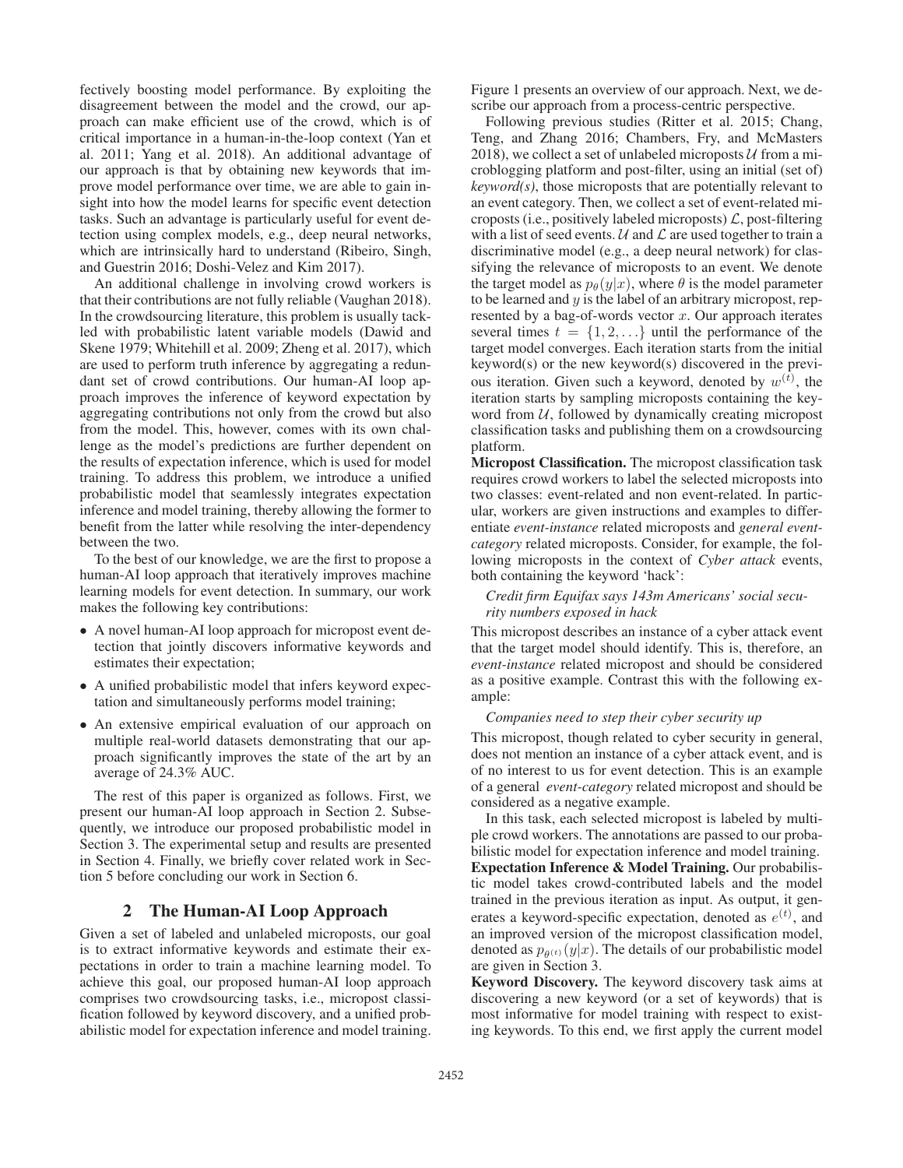fectively boosting model performance. By exploiting the disagreement between the model and the crowd, our approach can make efficient use of the crowd, which is of critical importance in a human-in-the-loop context (Yan et al. 2011; Yang et al. 2018). An additional advantage of our approach is that by obtaining new keywords that improve model performance over time, we are able to gain insight into how the model learns for specific event detection tasks. Such an advantage is particularly useful for event detection using complex models, e.g., deep neural networks, which are intrinsically hard to understand (Ribeiro, Singh, and Guestrin 2016; Doshi-Velez and Kim 2017).

An additional challenge in involving crowd workers is that their contributions are not fully reliable (Vaughan 2018). In the crowdsourcing literature, this problem is usually tackled with probabilistic latent variable models (Dawid and Skene 1979; Whitehill et al. 2009; Zheng et al. 2017), which are used to perform truth inference by aggregating a redundant set of crowd contributions. Our human-AI loop approach improves the inference of keyword expectation by aggregating contributions not only from the crowd but also from the model. This, however, comes with its own challenge as the model's predictions are further dependent on the results of expectation inference, which is used for model training. To address this problem, we introduce a unified probabilistic model that seamlessly integrates expectation inference and model training, thereby allowing the former to benefit from the latter while resolving the inter-dependency between the two.

To the best of our knowledge, we are the first to propose a human-AI loop approach that iteratively improves machine learning models for event detection. In summary, our work makes the following key contributions:

- A novel human-AI loop approach for micropost event detection that jointly discovers informative keywords and estimates their expectation;
- A unified probabilistic model that infers keyword expectation and simultaneously performs model training;
- An extensive empirical evaluation of our approach on multiple real-world datasets demonstrating that our approach significantly improves the state of the art by an average of 24.3% AUC.

The rest of this paper is organized as follows. First, we present our human-AI loop approach in Section 2. Subsequently, we introduce our proposed probabilistic model in Section 3. The experimental setup and results are presented in Section 4. Finally, we briefly cover related work in Section 5 before concluding our work in Section 6.

### 2 The Human-AI Loop Approach

Given a set of labeled and unlabeled microposts, our goal is to extract informative keywords and estimate their expectations in order to train a machine learning model. To achieve this goal, our proposed human-AI loop approach comprises two crowdsourcing tasks, i.e., micropost classification followed by keyword discovery, and a unified probabilistic model for expectation inference and model training.

Figure 1 presents an overview of our approach. Next, we describe our approach from a process-centric perspective.

Following previous studies (Ritter et al. 2015; Chang, Teng, and Zhang 2016; Chambers, Fry, and McMasters 2018), we collect a set of unlabeled microposts  $U$  from a microblogging platform and post-filter, using an initial (set of) *keyword(s)*, those microposts that are potentially relevant to an event category. Then, we collect a set of event-related microposts (i.e., positively labeled microposts)  $\mathcal{L}$ , post-filtering with a list of seed events.  $U$  and  $\mathcal L$  are used together to train a discriminative model (e.g., a deep neural network) for classifying the relevance of microposts to an event. We denote the target model as  $p_{\theta}(y|x)$ , where  $\theta$  is the model parameter to be learned and  $y$  is the label of an arbitrary micropost, represented by a bag-of-words vector  $x$ . Our approach iterates several times  $t = \{1, 2, ...\}$  until the performance of the target model converges. Each iteration starts from the initial keyword(s) or the new keyword(s) discovered in the previous iteration. Given such a keyword, denoted by  $w^{(t)}$ , the iteration starts by sampling microposts containing the keyiteration starts by sampling microposts containing the keyword from  $U$ , followed by dynamically creating micropost classification tasks and publishing them on a crowdsourcing platform.

Micropost Classification. The micropost classification task requires crowd workers to label the selected microposts into two classes: event-related and non event-related. In particular, workers are given instructions and examples to differentiate *event-instance* related microposts and *general eventcategory* related microposts. Consider, for example, the following microposts in the context of *Cyber attack* events, both containing the keyword 'hack':

#### *Credit firm Equifax says 143m Americans' social security numbers exposed in hack*

This micropost describes an instance of a cyber attack event that the target model should identify. This is, therefore, an *event-instance* related micropost and should be considered as a positive example. Contrast this with the following example:

### *Companies need to step their cyber security up*

This micropost, though related to cyber security in general, does not mention an instance of a cyber attack event, and is of no interest to us for event detection. This is an example of a general *event-category* related micropost and should be considered as a negative example.

In this task, each selected micropost is labeled by multiple crowd workers. The annotations are passed to our probabilistic model for expectation inference and model training. Expectation Inference & Model Training. Our probabilistic model takes crowd-contributed labels and the model trained in the previous iteration as input. As output, it generates a keyword-specific expectation, denoted as  $e^{(t)}$ , and an improved version of the micropost classification model an improved version of the micropost classification model, denoted as  $p_{\theta(t)}(y|x)$ . The details of our probabilistic model are given in Section 3.

Keyword Discovery. The keyword discovery task aims at discovering a new keyword (or a set of keywords) that is most informative for model training with respect to existing keywords. To this end, we first apply the current model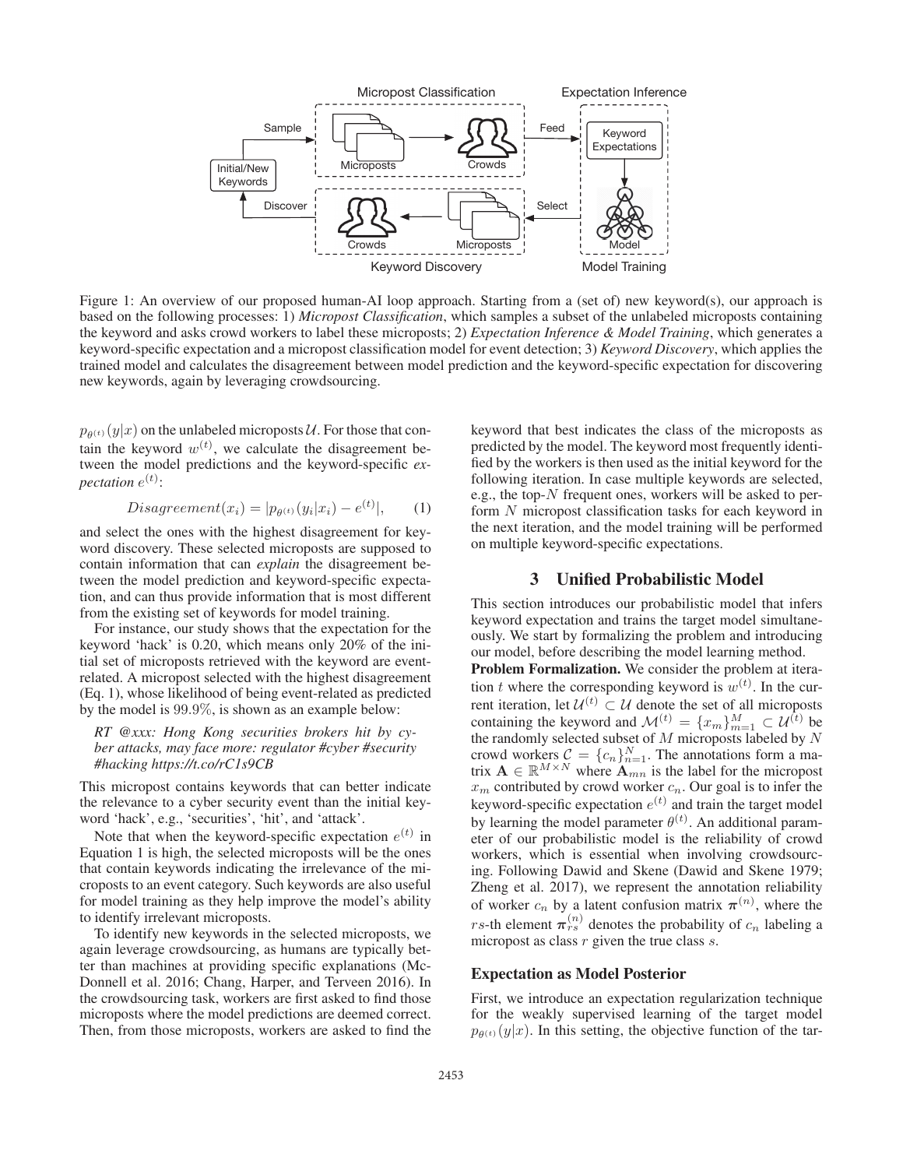

Figure 1: An overview of our proposed human-AI loop approach. Starting from a (set of) new keyword(s), our approach is based on the following processes: 1) *Micropost Classification*, which samples a subset of the unlabeled microposts containing the keyword and asks crowd workers to label these microposts; 2) *Expectation Inference & Model Training*, which generates a keyword-specific expectation and a micropost classification model for event detection; 3) *Keyword Discovery*, which applies the trained model and calculates the disagreement between model prediction and the keyword-specific expectation for discovering new keywords, again by leveraging crowdsourcing.

 $p_{\theta^{(t)}}(y|x)$  on the unlabeled microposts U. For those that contain the keyword  $w^{(t)}$ , we calculate the disagreement be-<br>tween the model predictions and the keyword-specific extween the model predictions and the keyword-specific *ex*pectation  $e^{(t)}$ :

$$
Disagreement(x_i) = |p_{\theta^{(t)}}(y_i|x_i) - e^{(t)}|,
$$
\n(1)

and select the ones with the highest disagreement for keyword discovery. These selected microposts are supposed to contain information that can *explain* the disagreement between the model prediction and keyword-specific expectation, and can thus provide information that is most different from the existing set of keywords for model training.

For instance, our study shows that the expectation for the keyword 'hack' is 0.20, which means only 20% of the initial set of microposts retrieved with the keyword are eventrelated. A micropost selected with the highest disagreement (Eq. 1), whose likelihood of being event-related as predicted by the model is 99.9%, is shown as an example below:

*RT @xxx: Hong Kong securities brokers hit by cyber attacks, may face more: regulator #cyber #security #hacking https://t.co/rC1s9CB*

This micropost contains keywords that can better indicate the relevance to a cyber security event than the initial keyword 'hack', e.g., 'securities', 'hit', and 'attack'.

Note that when the keyword-specific expectation  $e^{(t)}$  in Equation 1 is high, the selected microposts will be the ones that contain keywords indicating the irrelevance of the microposts to an event category. Such keywords are also useful for model training as they help improve the model's ability to identify irrelevant microposts.

To identify new keywords in the selected microposts, we again leverage crowdsourcing, as humans are typically better than machines at providing specific explanations (Mc-Donnell et al. 2016; Chang, Harper, and Terveen 2016). In the crowdsourcing task, workers are first asked to find those microposts where the model predictions are deemed correct. Then, from those microposts, workers are asked to find the

keyword that best indicates the class of the microposts as predicted by the model. The keyword most frequently identified by the workers is then used as the initial keyword for the following iteration. In case multiple keywords are selected, e.g., the top-N frequent ones, workers will be asked to perform N micropost classification tasks for each keyword in the next iteration, and the model training will be performed on multiple keyword-specific expectations.

### 3 Unified Probabilistic Model

This section introduces our probabilistic model that infers keyword expectation and trains the target model simultaneously. We start by formalizing the problem and introducing our model, before describing the model learning method.

Problem Formalization. We consider the problem at iteration t where the corresponding keyword is  $w^{(t)}$ . In the cur-<br>rent iteration, let  $\mathcal{U}^{(t)} \subset \mathcal{U}$  denote the set of all microposts rent iteration, let  $\mathcal{U}^{(t)} \subset \mathcal{U}$  denote the set of all microposts containing the keyword and  $\mathcal{M}^{(t)} = \{x_m\}_{m=1}^M \subset \mathcal{U}^{(t)}$  be the randomly selected subset of M microposts labeled by N the randomly selected subset of M microposts labeled by N<br>crowd workers  $C = \{c_n\}^N$ . The annotations form a macrowd workers  $C = \{c_n\}_{n=1}^N$ . The annotations form a ma-<br>trix  $A \in \mathbb{R}^{M \times N}$  where  $A_{mn}$  is the label for the micropost trix  $\mathbf{A} \in \mathbb{R}^{M \times N}$  where  $\mathbf{A}_{mn}$  is the label for the micropost  $x_m$  contributed by crowd worker  $c_n$ . Our goal is to infer the keyword-specific expectation  $e^{(t)}$  and train the target model by learning the model parameter  $\theta^{(t)}$ . An additional parameter of our probabilistic model is the reliability of crowd eter of our probabilistic model is the reliability of crowd workers, which is essential when involving crowdsourcing. Following Dawid and Skene (Dawid and Skene 1979; Zheng et al. 2017), we represent the annotation reliability of worker  $c_n$  by a latent confusion matrix  $\pi^{(n)}$ , where the *rs*-th element  $\pi_{rs}^{(n)}$  denotes the probability of  $c_n$  labeling a micropost as class  $r$  given the true class  $s$ .

#### Expectation as Model Posterior

First, we introduce an expectation regularization technique for the weakly supervised learning of the target model  $p_{\theta(t)}(y|x)$ . In this setting, the objective function of the tar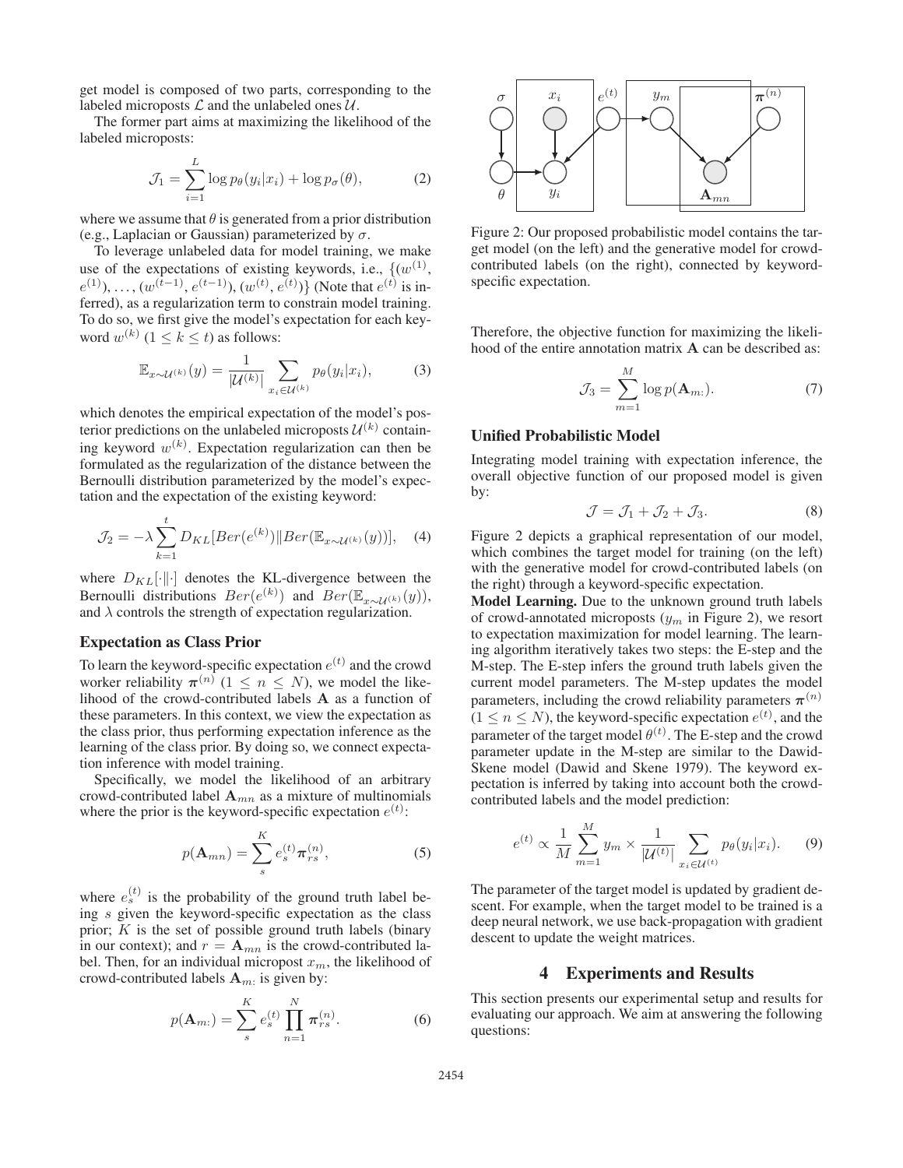get model is composed of two parts, corresponding to the labeled microposts  $\mathcal L$  and the unlabeled ones  $\mathcal U$ .

The former part aims at maximizing the likelihood of the labeled microposts:

$$
\mathcal{J}_1 = \sum_{i=1}^{L} \log p_{\theta}(y_i | x_i) + \log p_{\sigma}(\theta), \tag{2}
$$

where we assume that  $\theta$  is generated from a prior distribution (e.g., Laplacian or Gaussian) parameterized by  $\sigma$ .

To leverage unlabeled data for model training, we make use of the expectations of existing keywords, i.e.,  $\{(w^{(1)},\)$  $e^{(1)}$ , ...,  $(w^{(t-1)}, e^{(t-1)}), (w^{(t)}, e^{(t)})\}$  (Note that  $e^{(t)}$  is inferred) as a regularization term to constrain model training ferred), as a regularization term to constrain model training. To do so, we first give the model's expectation for each keyword  $w^{(k)}$  (1 < k < t) as follows:

$$
\mathbb{E}_{x \sim \mathcal{U}^{(k)}}(y) = \frac{1}{|\mathcal{U}^{(k)}|} \sum_{x_i \in \mathcal{U}^{(k)}} p_{\theta}(y_i | x_i), \tag{3}
$$

which denotes the empirical expectation of the model's posterior predictions on the unlabeled microposts  $\mathcal{U}^{(k)}$  containing keyword  $w^{(k)}$ . Expectation regularization can then be formulated as the regularization of the distance between the formulated as the regularization of the distance between the Bernoulli distribution parameterized by the model's expectation and the expectation of the existing keyword:

$$
\mathcal{J}_2 = -\lambda \sum_{k=1}^{t} D_{KL}[Ber(e^{(k)}) \| Ber(\mathbb{E}_{x \sim \mathcal{U}^{(k)}}(y))], \quad (4)
$$

where  $D_{KL}[\cdot||\cdot]$  denotes the KL-divergence between the Bernoulli distributions  $Ber(e^{(k)})$  and  $Ber(\mathbb{E}_{x\sim\mathcal{U}^{(k)}}(y))$ ,<br>and  $\lambda$  controls the strength of expectation regularization and  $\lambda$  controls the strength of expectation regularization.

#### Expectation as Class Prior

To learn the keyword-specific expectation  $e^{(t)}$  and the crowd worker reliability  $\pi^{(n)}$  ( $1 \leq n \leq N$ ), we model the likelihood of the crowd-contributed labels **A** as a function of these parameters. In this context, we view the expectation as the class prior, thus performing expectation inference as the learning of the class prior. By doing so, we connect expectation inference with model training.

Specifically, we model the likelihood of an arbitrary crowd-contributed label  $A_{mn}$  as a mixture of multinomials where the prior is the keyword-specific expectation  $e^{(t)}$ :

$$
p(\mathbf{A}_{mn}) = \sum_{s}^{K} e_s^{(t)} \pi_{rs}^{(n)},
$$
\n(5)

where  $e_s^{(t)}$  is the probability of the ground truth label be-<br>ing s given the keyword-specific expectation as the class ing s given the keyword-specific expectation as the class<br>prior:  $K$  is the set of possible ground truth labels (binary prior;  $K$  is the set of possible ground truth labels (binary in our context); and  $r = A_{mn}$  is the crowd-contributed label. Then, for an individual micropost  $x_m$ , the likelihood of crowd-contributed labels  $A_m$ : is given by:

$$
p(\mathbf{A}_{m:}) = \sum_{s}^{K} e_s^{(t)} \prod_{n=1}^{N} \pi_{rs}^{(n)}.
$$
 (6)



Figure 2: Our proposed probabilistic model contains the target model (on the left) and the generative model for crowdcontributed labels (on the right), connected by keywordspecific expectation.

Therefore, the objective function for maximizing the likelihood of the entire annotation matrix **A** can be described as:

$$
\mathcal{J}_3 = \sum_{m=1}^{M} \log p(\mathbf{A}_{m:}). \tag{7}
$$

### Unified Probabilistic Model

Integrating model training with expectation inference, the overall objective function of our proposed model is given by:

$$
\mathcal{J} = \mathcal{J}_1 + \mathcal{J}_2 + \mathcal{J}_3. \tag{8}
$$

Figure 2 depicts a graphical representation of our model, which combines the target model for training (on the left) with the generative model for crowd-contributed labels (on the right) through a keyword-specific expectation.

Model Learning. Due to the unknown ground truth labels of crowd-annotated microposts  $(y_m$  in Figure 2), we resort to expectation maximization for model learning. The learning algorithm iteratively takes two steps: the E-step and the M-step. The E-step infers the ground truth labels given the current model parameters. The M-step updates the model parameters, including the crowd reliability parameters  $\pi^{(n)}$  $(1 \le n \le N)$ , the keyword-specific expectation  $e^{(t)}$ , and the parameter of the target model  $\theta^{(t)}$ . The E-step and the crowd parameter of the target model  $\theta^{(t)}$ . The E-step and the crowd<br>parameter undate in the M-step are similar to the Dawidparameter update in the M-step are similar to the Dawid-Skene model (Dawid and Skene 1979). The keyword expectation is inferred by taking into account both the crowdcontributed labels and the model prediction:

$$
e^{(t)} \propto \frac{1}{M} \sum_{m=1}^{M} y_m \times \frac{1}{|\mathcal{U}^{(t)}|} \sum_{x_i \in \mathcal{U}^{(t)}} p_{\theta}(y_i | x_i). \tag{9}
$$

The parameter of the target model is updated by gradient descent. For example, when the target model to be trained is a deep neural network, we use back-propagation with gradient descent to update the weight matrices.

### 4 Experiments and Results

This section presents our experimental setup and results for evaluating our approach. We aim at answering the following questions: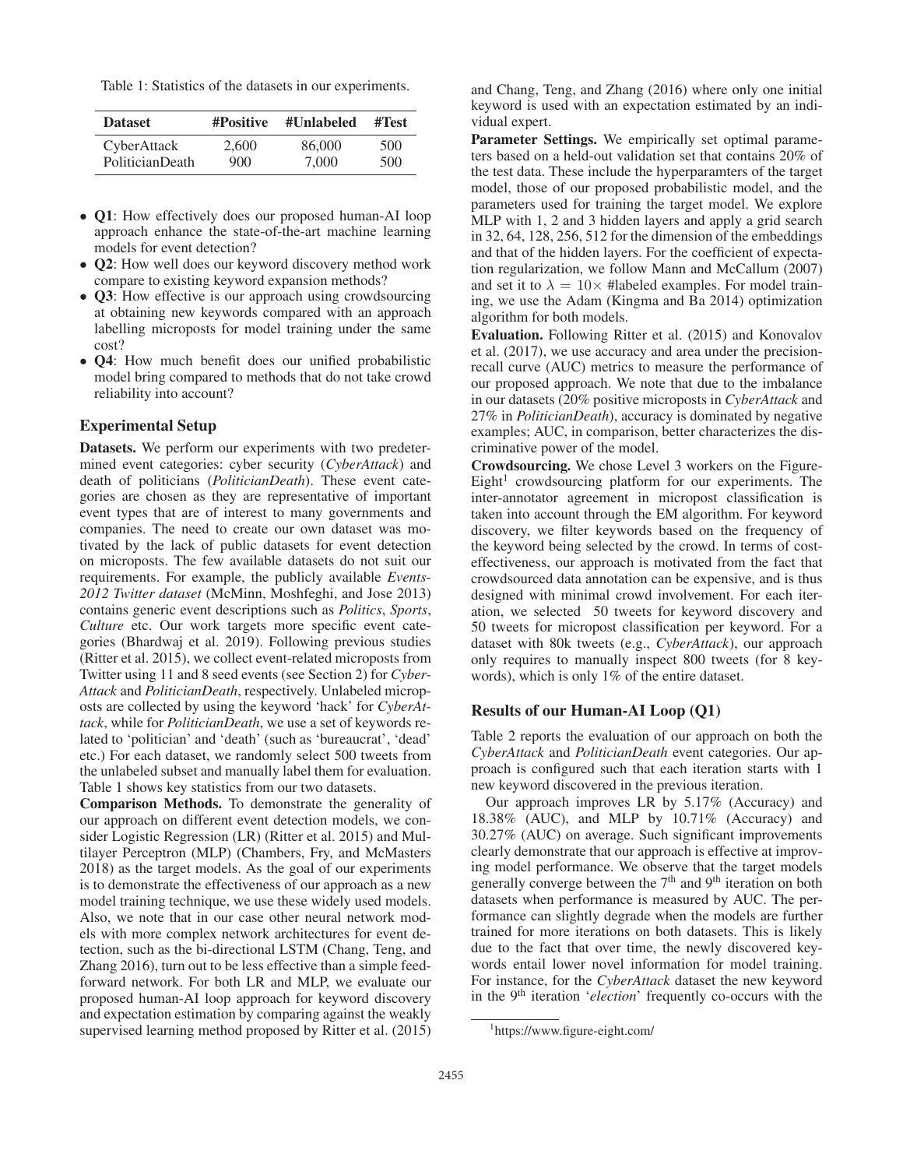Table 1: Statistics of the datasets in our experiments.

| <b>Dataset</b>  | #Positive | #Unlabeled | #Test |  |  |
|-----------------|-----------|------------|-------|--|--|
| CyberAttack     | 2.600     | 86,000     | 500   |  |  |
| PoliticianDeath | 900       | 7,000      | 500   |  |  |

- Q1: How effectively does our proposed human-AI loop approach enhance the state-of-the-art machine learning models for event detection?
- **Q2**: How well does our keyword discovery method work compare to existing keyword expansion methods?
- Q3: How effective is our approach using crowdsourcing at obtaining new keywords compared with an approach labelling microposts for model training under the same cost?
- **Q4**: How much benefit does our unified probabilistic model bring compared to methods that do not take crowd reliability into account?

#### Experimental Setup

Datasets. We perform our experiments with two predetermined event categories: cyber security (*CyberAttack*) and death of politicians (*PoliticianDeath*). These event categories are chosen as they are representative of important event types that are of interest to many governments and companies. The need to create our own dataset was motivated by the lack of public datasets for event detection on microposts. The few available datasets do not suit our requirements. For example, the publicly available *Events-2012 Twitter dataset* (McMinn, Moshfeghi, and Jose 2013) contains generic event descriptions such as *Politics*, *Sports*, *Culture* etc. Our work targets more specific event categories (Bhardwaj et al. 2019). Following previous studies (Ritter et al. 2015), we collect event-related microposts from Twitter using 11 and 8 seed events (see Section 2) for *Cyber-Attack* and *PoliticianDeath*, respectively. Unlabeled microposts are collected by using the keyword 'hack' for *CyberAttack*, while for *PoliticianDeath*, we use a set of keywords related to 'politician' and 'death' (such as 'bureaucrat', 'dead' etc.) For each dataset, we randomly select 500 tweets from the unlabeled subset and manually label them for evaluation. Table 1 shows key statistics from our two datasets.

Comparison Methods. To demonstrate the generality of our approach on different event detection models, we consider Logistic Regression (LR) (Ritter et al. 2015) and Multilayer Perceptron (MLP) (Chambers, Fry, and McMasters 2018) as the target models. As the goal of our experiments is to demonstrate the effectiveness of our approach as a new model training technique, we use these widely used models. Also, we note that in our case other neural network models with more complex network architectures for event detection, such as the bi-directional LSTM (Chang, Teng, and Zhang 2016), turn out to be less effective than a simple feedforward network. For both LR and MLP, we evaluate our proposed human-AI loop approach for keyword discovery and expectation estimation by comparing against the weakly supervised learning method proposed by Ritter et al. (2015)

and Chang, Teng, and Zhang (2016) where only one initial keyword is used with an expectation estimated by an individual expert.

Parameter Settings. We empirically set optimal parameters based on a held-out validation set that contains 20% of the test data. These include the hyperparamters of the target model, those of our proposed probabilistic model, and the parameters used for training the target model. We explore MLP with 1, 2 and 3 hidden layers and apply a grid search in 32, 64, 128, 256, 512 for the dimension of the embeddings and that of the hidden layers. For the coefficient of expectation regularization, we follow Mann and McCallum (2007) and set it to  $\lambda = 10 \times \text{Habeled examples.}$  For model training, we use the Adam (Kingma and Ba 2014) optimization algorithm for both models.

Evaluation. Following Ritter et al. (2015) and Konovalov et al. (2017), we use accuracy and area under the precisionrecall curve (AUC) metrics to measure the performance of our proposed approach. We note that due to the imbalance in our datasets (20% positive microposts in *CyberAttack* and 27% in *PoliticianDeath*), accuracy is dominated by negative examples; AUC, in comparison, better characterizes the discriminative power of the model.

Crowdsourcing. We chose Level 3 workers on the Figure- $Eight<sup>1</sup>$  crowdsourcing platform for our experiments. The inter-annotator agreement in micropost classification is taken into account through the EM algorithm. For keyword discovery, we filter keywords based on the frequency of the keyword being selected by the crowd. In terms of costeffectiveness, our approach is motivated from the fact that crowdsourced data annotation can be expensive, and is thus designed with minimal crowd involvement. For each iteration, we selected 50 tweets for keyword discovery and 50 tweets for micropost classification per keyword. For a dataset with 80k tweets (e.g., *CyberAttack*), our approach only requires to manually inspect 800 tweets (for 8 keywords), which is only 1% of the entire dataset.

#### Results of our Human-AI Loop (Q1)

Table 2 reports the evaluation of our approach on both the *CyberAttack* and *PoliticianDeath* event categories. Our approach is configured such that each iteration starts with 1 new keyword discovered in the previous iteration.

Our approach improves LR by 5.17% (Accuracy) and 18.38% (AUC), and MLP by 10.71% (Accuracy) and 30.27% (AUC) on average. Such significant improvements clearly demonstrate that our approach is effective at improving model performance. We observe that the target models generally converge between the  $7<sup>th</sup>$  and  $9<sup>th</sup>$  iteration on both datasets when performance is measured by AUC. The performance can slightly degrade when the models are further trained for more iterations on both datasets. This is likely due to the fact that over time, the newly discovered keywords entail lower novel information for model training. For instance, for the *CyberAttack* dataset the new keyword in the 9<sup>th</sup> iteration '*election*' frequently co-occurs with the

<sup>1</sup> https://www.figure-eight.com/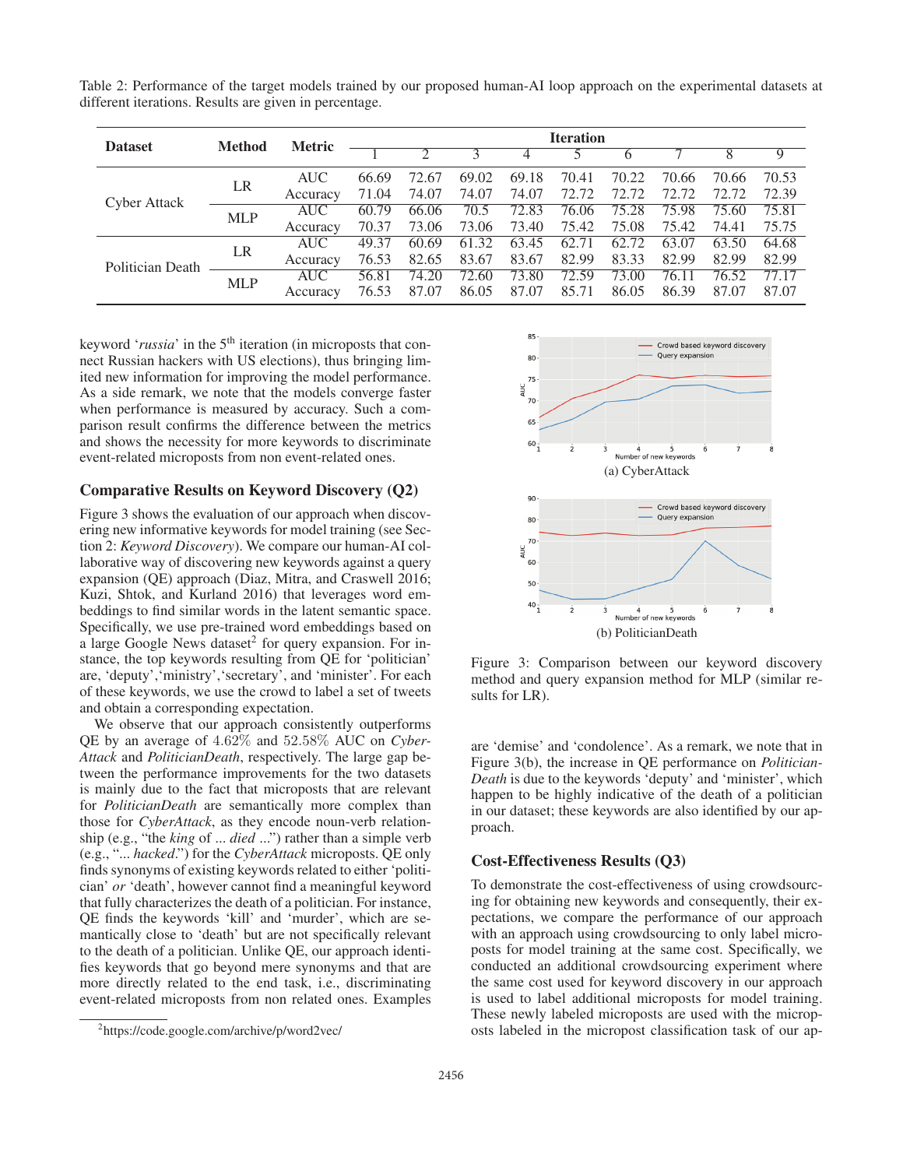Table 2: Performance of the target models trained by our proposed human-AI loop approach on the experimental datasets at different iterations. Results are given in percentage.

| <b>Dataset</b>      | <b>Method</b> | <b>Metric</b> | <b>Iteration</b> |       |       |       |       |       |       |       |       |
|---------------------|---------------|---------------|------------------|-------|-------|-------|-------|-------|-------|-------|-------|
|                     |               |               |                  |       |       |       |       |       |       |       |       |
| <b>Cyber Attack</b> | LR            | <b>AUC</b>    | 66.69            | 72.67 | 69.02 | 69.18 | 70.41 | 70.22 | 70.66 | 70.66 | 70.53 |
|                     |               | Accuracy      | 71.04            | 74.07 | 74.07 | 74.07 | 72.72 | 72.72 | 72.72 | 72.72 | 72.39 |
|                     | <b>MLP</b>    | AUC           | 60.79            | 66.06 | 70.5  | 72.83 | 76.06 | 75.28 | 75.98 | 75.60 | 75.81 |
|                     |               | Accuracy      | 70.37            | 73.06 | 73.06 | 73.40 | 75.42 | 75.08 | 75.42 | 74.41 | 75.75 |
| Politician Death    | LR            | AUC           | 49.37            | 60.69 | 61.32 | 63.45 | 62.71 | 62.72 | 63.07 | 63.50 | 64.68 |
|                     |               | Accuracy      | 76.53            | 82.65 | 83.67 | 83.67 | 82.99 | 83.33 | 82.99 | 82.99 | 82.99 |
|                     | <b>MLP</b>    | <b>AUC</b>    | 56.81            | 74.20 | 72.60 | 73.80 | 72.59 | 73.00 | 76.11 | 76.52 | 77.17 |
|                     |               | Accuracy      | 76.53            | 87.07 | 86.05 | 87.07 | 85.71 | 86.05 | 86.39 | 87.07 | 87.07 |

keyword '*russia*' in the 5<sup>th</sup> iteration (in microposts that connect Russian hackers with US elections), thus bringing limited new information for improving the model performance. As a side remark, we note that the models converge faster when performance is measured by accuracy. Such a comparison result confirms the difference between the metrics and shows the necessity for more keywords to discriminate event-related microposts from non event-related ones.

### Comparative Results on Keyword Discovery (Q2)

Figure 3 shows the evaluation of our approach when discovering new informative keywords for model training (see Section 2: *Keyword Discovery*). We compare our human-AI collaborative way of discovering new keywords against a query expansion (QE) approach (Diaz, Mitra, and Craswell 2016; Kuzi, Shtok, and Kurland 2016) that leverages word embeddings to find similar words in the latent semantic space. Specifically, we use pre-trained word embeddings based on a large Google News dataset<sup>2</sup> for query expansion. For instance, the top keywords resulting from QE for 'politician' are, 'deputy','ministry','secretary', and 'minister'. For each of these keywords, we use the crowd to label a set of tweets and obtain a corresponding expectation.

We observe that our approach consistently outperforms QE by an average of 4.62% and 52.58% AUC on *Cyber-Attack* and *PoliticianDeath*, respectively. The large gap between the performance improvements for the two datasets is mainly due to the fact that microposts that are relevant for *PoliticianDeath* are semantically more complex than those for *CyberAttack*, as they encode noun-verb relationship (e.g., "the *king* of ... *died* ...") rather than a simple verb (e.g., "... *hacked*.") for the *CyberAttack* microposts. QE only finds synonyms of existing keywords related to either 'politician' *or* 'death', however cannot find a meaningful keyword that fully characterizes the death of a politician. For instance, QE finds the keywords 'kill' and 'murder', which are semantically close to 'death' but are not specifically relevant to the death of a politician. Unlike QE, our approach identifies keywords that go beyond mere synonyms and that are more directly related to the end task, i.e., discriminating event-related microposts from non related ones. Examples



Figure 3: Comparison between our keyword discovery method and query expansion method for MLP (similar results for LR).

are 'demise' and 'condolence'. As a remark, we note that in Figure 3(b), the increase in QE performance on *Politician-Death* is due to the keywords 'deputy' and 'minister', which happen to be highly indicative of the death of a politician in our dataset; these keywords are also identified by our approach.

# Cost-Effectiveness Results (Q3)

To demonstrate the cost-effectiveness of using crowdsourcing for obtaining new keywords and consequently, their expectations, we compare the performance of our approach with an approach using crowdsourcing to only label microposts for model training at the same cost. Specifically, we conducted an additional crowdsourcing experiment where the same cost used for keyword discovery in our approach is used to label additional microposts for model training. These newly labeled microposts are used with the microposts labeled in the micropost classification task of our ap-

<sup>2</sup> https://code.google.com/archive/p/word2vec/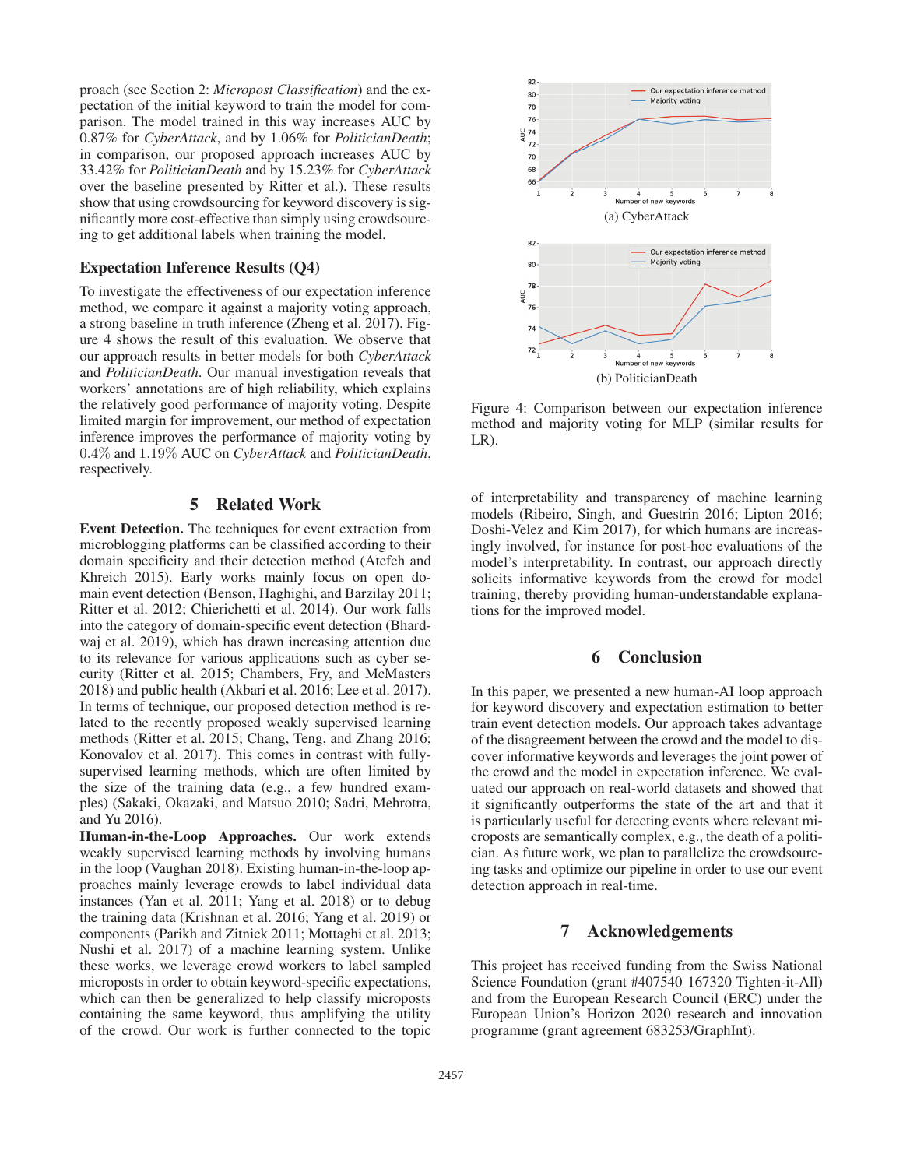proach (see Section 2: *Micropost Classification*) and the expectation of the initial keyword to train the model for comparison. The model trained in this way increases AUC by 0.87% for *CyberAttack*, and by 1.06% for *PoliticianDeath*; in comparison, our proposed approach increases AUC by 33.42% for *PoliticianDeath* and by 15.23% for *CyberAttack* over the baseline presented by Ritter et al.). These results show that using crowdsourcing for keyword discovery is significantly more cost-effective than simply using crowdsourcing to get additional labels when training the model.

#### Expectation Inference Results (Q4)

To investigate the effectiveness of our expectation inference method, we compare it against a majority voting approach, a strong baseline in truth inference (Zheng et al. 2017). Figure 4 shows the result of this evaluation. We observe that our approach results in better models for both *CyberAttack* and *PoliticianDeath*. Our manual investigation reveals that workers' annotations are of high reliability, which explains the relatively good performance of majority voting. Despite limited margin for improvement, our method of expectation inference improves the performance of majority voting by 0.4% and 1.19% AUC on *CyberAttack* and *PoliticianDeath*, respectively.

### 5 Related Work

Event Detection. The techniques for event extraction from microblogging platforms can be classified according to their domain specificity and their detection method (Atefeh and Khreich 2015). Early works mainly focus on open domain event detection (Benson, Haghighi, and Barzilay 2011; Ritter et al. 2012; Chierichetti et al. 2014). Our work falls into the category of domain-specific event detection (Bhardwaj et al. 2019), which has drawn increasing attention due to its relevance for various applications such as cyber security (Ritter et al. 2015; Chambers, Fry, and McMasters 2018) and public health (Akbari et al. 2016; Lee et al. 2017). In terms of technique, our proposed detection method is related to the recently proposed weakly supervised learning methods (Ritter et al. 2015; Chang, Teng, and Zhang 2016; Konovalov et al. 2017). This comes in contrast with fullysupervised learning methods, which are often limited by the size of the training data (e.g., a few hundred examples) (Sakaki, Okazaki, and Matsuo 2010; Sadri, Mehrotra, and Yu 2016).

Human-in-the-Loop Approaches. Our work extends weakly supervised learning methods by involving humans in the loop (Vaughan 2018). Existing human-in-the-loop approaches mainly leverage crowds to label individual data instances (Yan et al. 2011; Yang et al. 2018) or to debug the training data (Krishnan et al. 2016; Yang et al. 2019) or components (Parikh and Zitnick 2011; Mottaghi et al. 2013; Nushi et al. 2017) of a machine learning system. Unlike these works, we leverage crowd workers to label sampled microposts in order to obtain keyword-specific expectations, which can then be generalized to help classify microposts containing the same keyword, thus amplifying the utility of the crowd. Our work is further connected to the topic



Figure 4: Comparison between our expectation inference method and majority voting for MLP (similar results for LR).

of interpretability and transparency of machine learning models (Ribeiro, Singh, and Guestrin 2016; Lipton 2016; Doshi-Velez and Kim 2017), for which humans are increasingly involved, for instance for post-hoc evaluations of the model's interpretability. In contrast, our approach directly solicits informative keywords from the crowd for model training, thereby providing human-understandable explanations for the improved model.

# 6 Conclusion

In this paper, we presented a new human-AI loop approach for keyword discovery and expectation estimation to better train event detection models. Our approach takes advantage of the disagreement between the crowd and the model to discover informative keywords and leverages the joint power of the crowd and the model in expectation inference. We evaluated our approach on real-world datasets and showed that it significantly outperforms the state of the art and that it is particularly useful for detecting events where relevant microposts are semantically complex, e.g., the death of a politician. As future work, we plan to parallelize the crowdsourcing tasks and optimize our pipeline in order to use our event detection approach in real-time.

# 7 Acknowledgements

This project has received funding from the Swiss National Science Foundation (grant #407540 167320 Tighten-it-All) and from the European Research Council (ERC) under the European Union's Horizon 2020 research and innovation programme (grant agreement 683253/GraphInt).